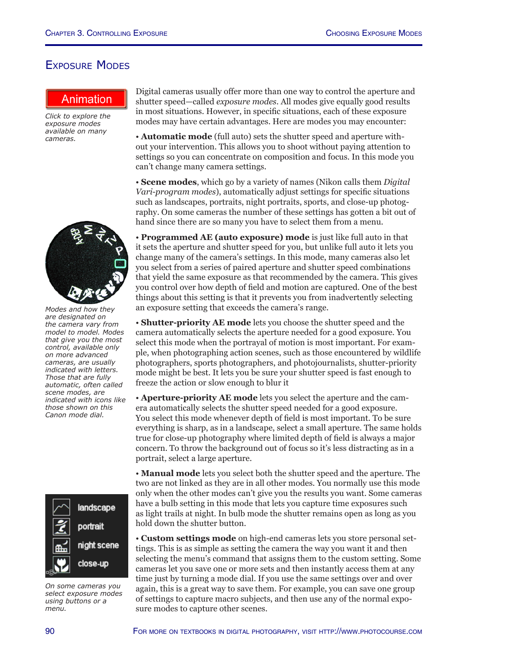## Exposure Modes

*Click to explore the exposure modes available on many cameras.*



*Modes and how they are designated on the camera vary from model to model. Modes that give you the most control, available only on more advanced cameras, are usually indicated with letters. Those that are fully automatic, often called scene modes, are indicated with icons like those shown on this Canon mode dial.*



*On some cameras you select exposure modes using buttons or a menu.*

**http://www.photocourse.com/itext/modelial/** Digital cameras usually offer more than one way to control the aperture and shutter speed—called *exposure modes*. All modes give equally good results in most situations. However, in specific situations, each of these exposure modes may have certain advantages. Here are modes you may encounter:

> • **Automatic mode** (full auto) sets the shutter speed and aperture without your intervention. This allows you to shoot without paying attention to settings so you can concentrate on composition and focus. In this mode you can't change many camera settings.

> • **Scene modes**, which go by a variety of names (Nikon calls them *Digital Vari-program modes*), automatically adjust settings for specific situations such as landscapes, portraits, night portraits, sports, and close-up photography. On some cameras the number of these settings has gotten a bit out of hand since there are so many you have to select them from a menu.

> • **Programmed AE (auto exposure) mode** is just like full auto in that it sets the aperture and shutter speed for you, but unlike full auto it lets you change many of the camera's settings. In this mode, many cameras also let you select from a series of paired aperture and shutter speed combinations that yield the same exposure as that recommended by the camera. This gives you control over how depth of field and motion are captured. One of the best things about this setting is that it prevents you from inadvertently selecting an exposure setting that exceeds the camera's range.

• **Shutter-priority AE mode** lets you choose the shutter speed and the camera automatically selects the aperture needed for a good exposure. You select this mode when the portrayal of motion is most important. For example, when photographing action scenes, such as those encountered by wildlife photographers, sports photographers, and photojournalists, shutter-priority mode might be best. It lets you be sure your shutter speed is fast enough to freeze the action or slow enough to blur it

• **Aperture-priority AE mode** lets you select the aperture and the camera automatically selects the shutter speed needed for a good exposure. You select this mode whenever depth of field is most important. To be sure everything is sharp, as in a landscape, select a small aperture. The same holds true for close-up photography where limited depth of field is always a major concern. To throw the background out of focus so it's less distracting as in a portrait, select a large aperture.

• **Manual mode** lets you select both the shutter speed and the aperture. The two are not linked as they are in all other modes. You normally use this mode only when the other modes can't give you the results you want. Some cameras have a bulb setting in this mode that lets you capture time exposures such as light trails at night. In bulb mode the shutter remains open as long as you hold down the shutter button.

• **Custom settings mode** on high-end cameras lets you store personal settings. This is as simple as setting the camera the way you want it and then selecting the menu's command that assigns them to the custom setting. Some cameras let you save one or more sets and then instantly access them at any time just by turning a mode dial. If you use the same settings over and over again, this is a great way to save them. For example, you can save one group of settings to capture macro subjects, and then use any of the normal exposure modes to capture other scenes.